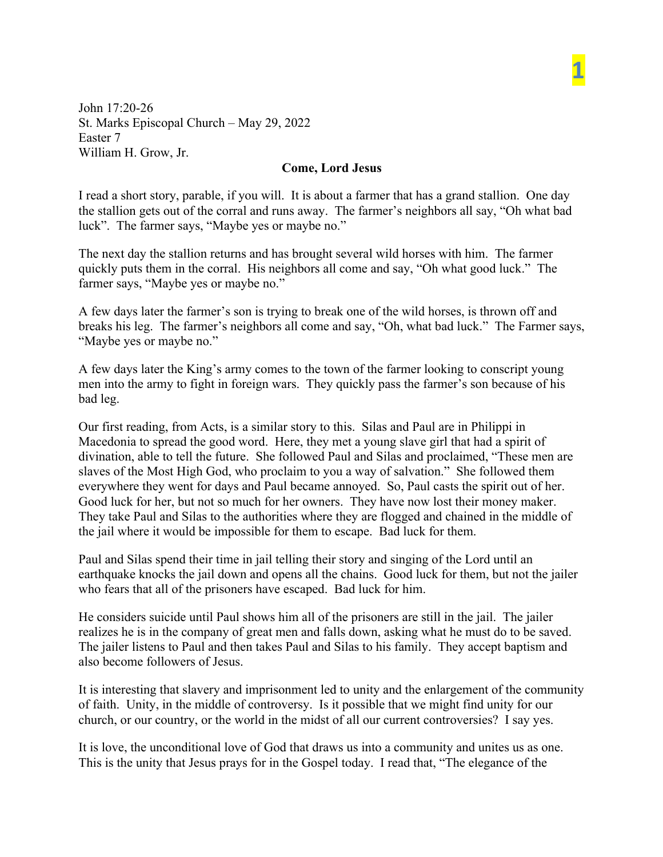John 17:20-26 St. Marks Episcopal Church – May 29, 2022 Easter 7 William H. Grow, Jr.

## **Come, Lord Jesus**

**1**

I read a short story, parable, if you will. It is about a farmer that has a grand stallion. One day the stallion gets out of the corral and runs away. The farmer's neighbors all say, "Oh what bad luck". The farmer says, "Maybe yes or maybe no."

The next day the stallion returns and has brought several wild horses with him. The farmer quickly puts them in the corral. His neighbors all come and say, "Oh what good luck." The farmer says, "Maybe yes or maybe no."

A few days later the farmer's son is trying to break one of the wild horses, is thrown off and breaks his leg. The farmer's neighbors all come and say, "Oh, what bad luck." The Farmer says, "Maybe yes or maybe no."

A few days later the King's army comes to the town of the farmer looking to conscript young men into the army to fight in foreign wars. They quickly pass the farmer's son because of his bad leg.

Our first reading, from Acts, is a similar story to this. Silas and Paul are in Philippi in Macedonia to spread the good word. Here, they met a young slave girl that had a spirit of divination, able to tell the future. She followed Paul and Silas and proclaimed, "These men are slaves of the Most High God, who proclaim to you a way of salvation." She followed them everywhere they went for days and Paul became annoyed. So, Paul casts the spirit out of her. Good luck for her, but not so much for her owners. They have now lost their money maker. They take Paul and Silas to the authorities where they are flogged and chained in the middle of the jail where it would be impossible for them to escape. Bad luck for them.

Paul and Silas spend their time in jail telling their story and singing of the Lord until an earthquake knocks the jail down and opens all the chains. Good luck for them, but not the jailer who fears that all of the prisoners have escaped. Bad luck for him.

He considers suicide until Paul shows him all of the prisoners are still in the jail. The jailer realizes he is in the company of great men and falls down, asking what he must do to be saved. The jailer listens to Paul and then takes Paul and Silas to his family. They accept baptism and also become followers of Jesus.

It is interesting that slavery and imprisonment led to unity and the enlargement of the community of faith. Unity, in the middle of controversy. Is it possible that we might find unity for our church, or our country, or the world in the midst of all our current controversies? I say yes.

It is love, the unconditional love of God that draws us into a community and unites us as one. This is the unity that Jesus prays for in the Gospel today. I read that, "The elegance of the